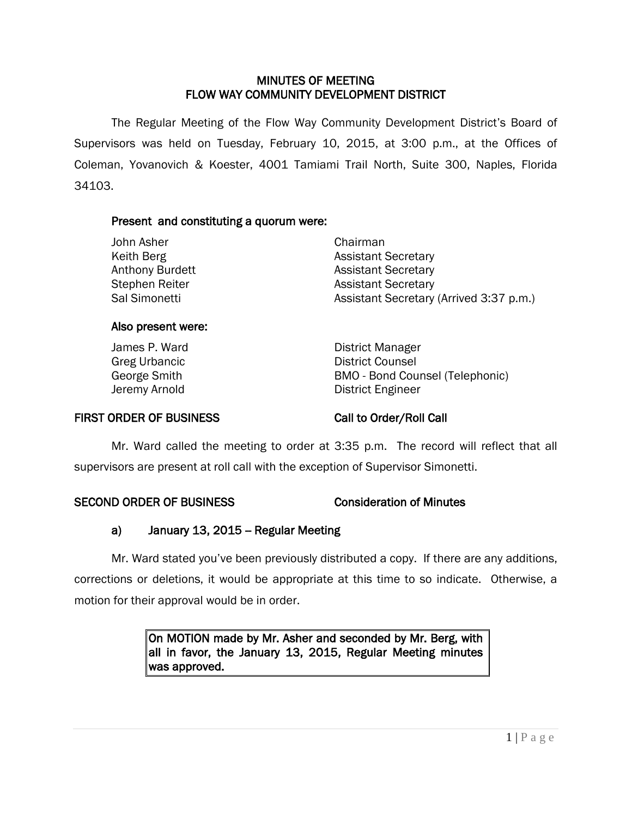# MINUTES OF MEETING FLOW WAY COMMUNITY DEVELOPMENT DISTRICT

 The Regular Meeting of the Flow Way Community Development District's Board of Supervisors was held on Tuesday, February 10, 2015, at 3:00 p.m., at the Offices of Coleman, Yovanovich & Koester, 4001 Tamiami Trail North, Suite 300, Naples, Florida 34103.

# Present and constituting a quorum were:

| John Asher      | Chairman                                |
|-----------------|-----------------------------------------|
| Keith Berg      | <b>Assistant Secretary</b>              |
| Anthony Burdett | <b>Assistant Secretary</b>              |
| Stephen Reiter  | <b>Assistant Secretary</b>              |
| Sal Simonetti   | Assistant Secretary (Arrived 3:37 p.m.) |
|                 |                                         |

## Also present were:

James P. Ward **District Manager** Greg Urbancic **District Counsel** George Smith **BMO** - Bond Counsel (Telephonic) Jeremy Arnold **District Engineer** 

## FIRST ORDER OF BUSINESS Call to Order/Roll Call

Mr. Ward called the meeting to order at 3:35 p.m. The record will reflect that all supervisors are present at roll call with the exception of Supervisor Simonetti.

# SECOND ORDER OF BUSINESS Consideration of Minutes

# a) January 13, 2015 – Regular Meeting

Mr. Ward stated you've been previously distributed a copy. If there are any additions, corrections or deletions, it would be appropriate at this time to so indicate. Otherwise, a motion for their approval would be in order.

> On MOTION made by Mr. Asher and seconded by Mr. Berg, with all in favor, the January 13, 2015, Regular Meeting minutes was approved.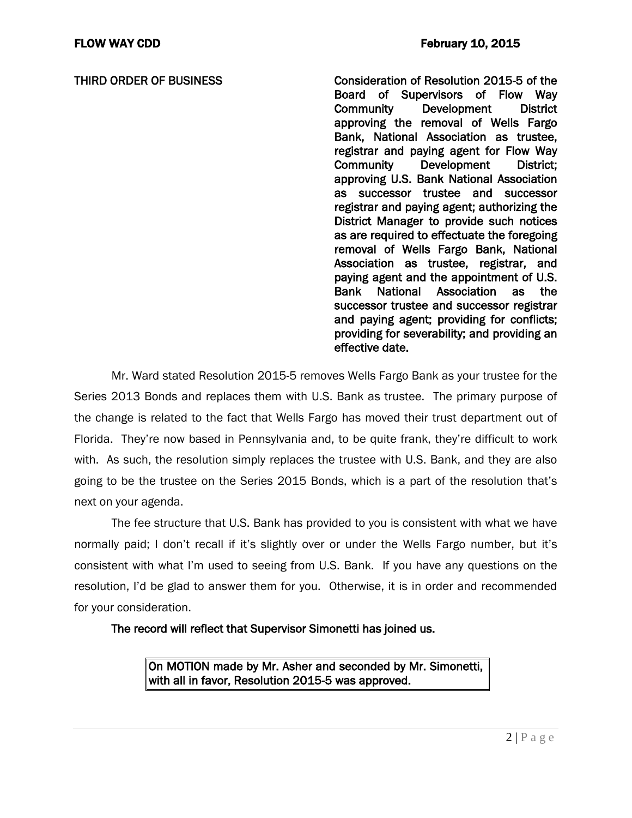THIRD ORDER OF BUSINESS Consideration of Resolution 2015-5 of the Board of Supervisors of Flow Way Community Development District approving the removal of Wells Fargo Bank, National Association as trustee, registrar and paying agent for Flow Way Community Development District; approving U.S. Bank National Association as successor trustee and successor registrar and paying agent; authorizing the District Manager to provide such notices as are required to effectuate the foregoing removal of Wells Fargo Bank, National Association as trustee, registrar, and paying agent and the appointment of U.S. Bank National Association as the successor trustee and successor registrar and paying agent; providing for conflicts; providing for severability; and providing an effective date.

Mr. Ward stated Resolution 2015-5 removes Wells Fargo Bank as your trustee for the Series 2013 Bonds and replaces them with U.S. Bank as trustee. The primary purpose of the change is related to the fact that Wells Fargo has moved their trust department out of Florida. They're now based in Pennsylvania and, to be quite frank, they're difficult to work with. As such, the resolution simply replaces the trustee with U.S. Bank, and they are also going to be the trustee on the Series 2015 Bonds, which is a part of the resolution that's next on your agenda.

The fee structure that U.S. Bank has provided to you is consistent with what we have normally paid; I don't recall if it's slightly over or under the Wells Fargo number, but it's consistent with what I'm used to seeing from U.S. Bank. If you have any questions on the resolution, I'd be glad to answer them for you. Otherwise, it is in order and recommended for your consideration.

The record will reflect that Supervisor Simonetti has joined us.

On MOTION made by Mr. Asher and seconded by Mr. Simonetti, with all in favor, Resolution 2015-5 was approved.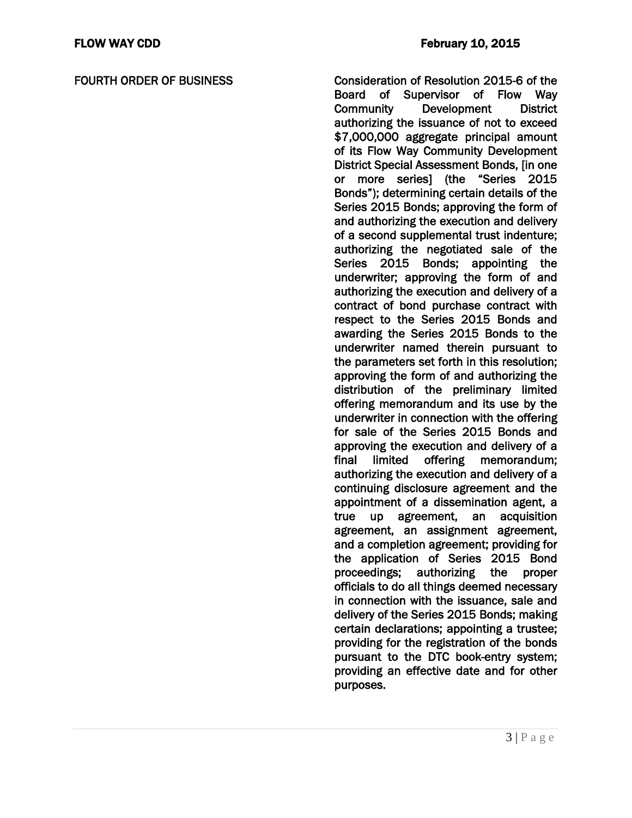FOURTH ORDER OF BUSINESS Consideration of Resolution 2015-6 of the Board of Supervisor of Flow Way Community Development District authorizing the issuance of not to exceed \$7,000,000 aggregate principal amount of its Flow Way Community Development District Special Assessment Bonds, [in one or more series] (the "Series 2015 Bonds"); determining certain details of the Series 2015 Bonds; approving the form of and authorizing the execution and delivery of a second supplemental trust indenture; authorizing the negotiated sale of the Series 2015 Bonds; appointing the underwriter; approving the form of and authorizing the execution and delivery of a contract of bond purchase contract with respect to the Series 2015 Bonds and awarding the Series 2015 Bonds to the underwriter named therein pursuant to the parameters set forth in this resolution; approving the form of and authorizing the distribution of the preliminary limited offering memorandum and its use by the underwriter in connection with the offering for sale of the Series 2015 Bonds and approving the execution and delivery of a final limited offering memorandum; authorizing the execution and delivery of a continuing disclosure agreement and the appointment of a dissemination agent, a true up agreement, an acquisition agreement, an assignment agreement, and a completion agreement; providing for the application of Series 2015 Bond proceedings; authorizing the proper officials to do all things deemed necessary in connection with the issuance, sale and delivery of the Series 2015 Bonds; making certain declarations; appointing a trustee; providing for the registration of the bonds pursuant to the DTC book-entry system; providing an effective date and for other purposes.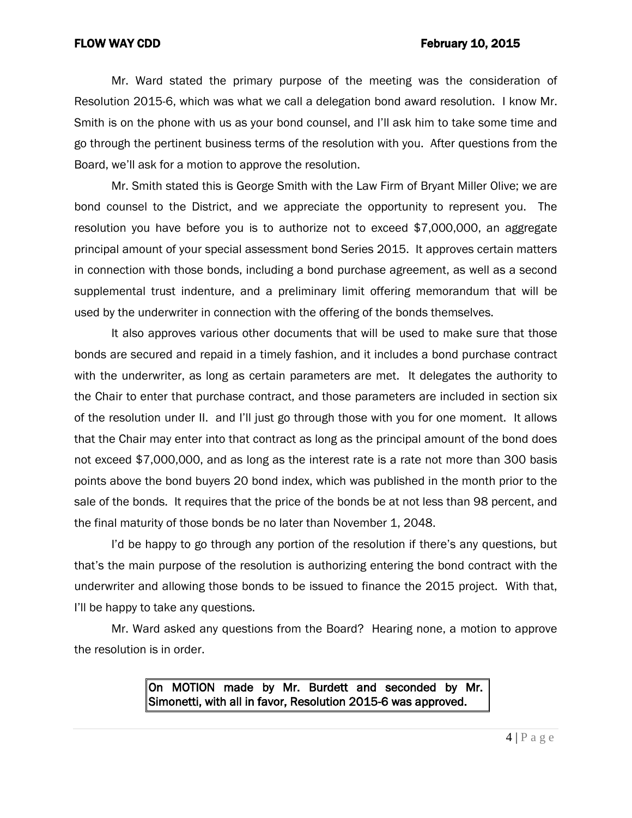### FLOW WAY CDD **FLOW WAY CDD**

Mr. Ward stated the primary purpose of the meeting was the consideration of Resolution 2015-6, which was what we call a delegation bond award resolution. I know Mr. Smith is on the phone with us as your bond counsel, and I'll ask him to take some time and go through the pertinent business terms of the resolution with you. After questions from the Board, we'll ask for a motion to approve the resolution.

Mr. Smith stated this is George Smith with the Law Firm of Bryant Miller Olive; we are bond counsel to the District, and we appreciate the opportunity to represent you. The resolution you have before you is to authorize not to exceed \$7,000,000, an aggregate principal amount of your special assessment bond Series 2015. It approves certain matters in connection with those bonds, including a bond purchase agreement, as well as a second supplemental trust indenture, and a preliminary limit offering memorandum that will be used by the underwriter in connection with the offering of the bonds themselves.

It also approves various other documents that will be used to make sure that those bonds are secured and repaid in a timely fashion, and it includes a bond purchase contract with the underwriter, as long as certain parameters are met. It delegates the authority to the Chair to enter that purchase contract, and those parameters are included in section six of the resolution under II. and I'll just go through those with you for one moment. It allows that the Chair may enter into that contract as long as the principal amount of the bond does not exceed \$7,000,000, and as long as the interest rate is a rate not more than 300 basis points above the bond buyers 20 bond index, which was published in the month prior to the sale of the bonds. It requires that the price of the bonds be at not less than 98 percent, and the final maturity of those bonds be no later than November 1, 2048.

I'd be happy to go through any portion of the resolution if there's any questions, but that's the main purpose of the resolution is authorizing entering the bond contract with the underwriter and allowing those bonds to be issued to finance the 2015 project. With that, I'll be happy to take any questions.

Mr. Ward asked any questions from the Board? Hearing none, a motion to approve the resolution is in order.

> On MOTION made by Mr. Burdett and seconded by Mr. Simonetti, with all in favor, Resolution 2015-6 was approved.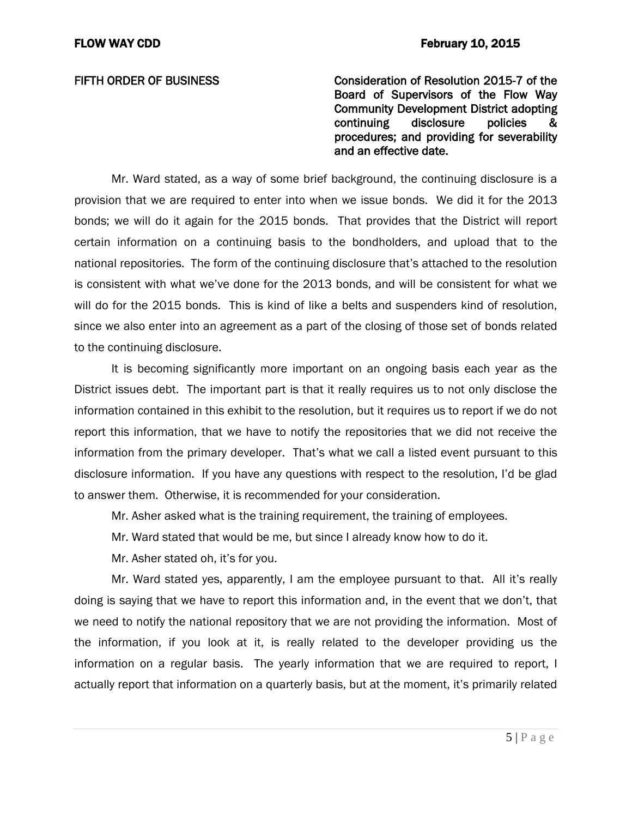FIFTH ORDER OF BUSINESS Consideration of Resolution 2015-7 of the Board of Supervisors of the Flow Way Community Development District adopting continuing disclosure policies procedures; and providing for severability and an effective date.

Mr. Ward stated, as a way of some brief background, the continuing disclosure is a provision that we are required to enter into when we issue bonds. We did it for the 2013 bonds; we will do it again for the 2015 bonds. That provides that the District will report certain information on a continuing basis to the bondholders, and upload that to the national repositories. The form of the continuing disclosure that's attached to the resolution is consistent with what we've done for the 2013 bonds, and will be consistent for what we will do for the 2015 bonds. This is kind of like a belts and suspenders kind of resolution, since we also enter into an agreement as a part of the closing of those set of bonds related to the continuing disclosure.

It is becoming significantly more important on an ongoing basis each year as the District issues debt. The important part is that it really requires us to not only disclose the information contained in this exhibit to the resolution, but it requires us to report if we do not report this information, that we have to notify the repositories that we did not receive the information from the primary developer. That's what we call a listed event pursuant to this disclosure information. If you have any questions with respect to the resolution, I'd be glad to answer them. Otherwise, it is recommended for your consideration.

Mr. Asher asked what is the training requirement, the training of employees.

Mr. Ward stated that would be me, but since I already know how to do it.

Mr. Asher stated oh, it's for you.

Mr. Ward stated yes, apparently, I am the employee pursuant to that. All it's really doing is saying that we have to report this information and, in the event that we don't, that we need to notify the national repository that we are not providing the information. Most of the information, if you look at it, is really related to the developer providing us the information on a regular basis. The yearly information that we are required to report, I actually report that information on a quarterly basis, but at the moment, it's primarily related